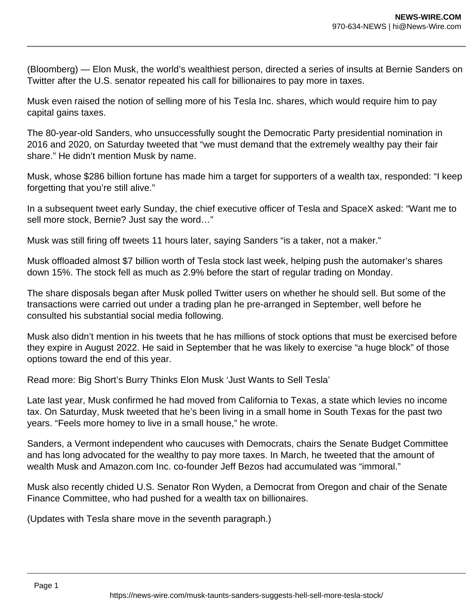(Bloomberg) — Elon Musk, the world's wealthiest person, directed a series of insults at Bernie Sanders on Twitter after the U.S. senator repeated his call for billionaires to pay more in taxes.

Musk even raised the notion of selling more of his Tesla Inc. shares, which would require him to pay capital gains taxes.

The 80-year-old Sanders, who unsuccessfully sought the Democratic Party presidential nomination in 2016 and 2020, on Saturday tweeted that "we must demand that the extremely wealthy pay their fair share." He didn't mention Musk by name.

Musk, whose \$286 billion fortune has made him a target for supporters of a wealth tax, responded: "I keep forgetting that you're still alive."

In a subsequent tweet early Sunday, the chief executive officer of Tesla and SpaceX asked: "Want me to sell more stock, Bernie? Just say the word…"

Musk was still firing off tweets 11 hours later, saying Sanders "is a taker, not a maker."

Musk offloaded almost \$7 billion worth of Tesla stock last week, helping push the automaker's shares down 15%. The stock fell as much as 2.9% before the start of regular trading on Monday.

The share disposals began after Musk polled Twitter users on whether he should sell. But some of the transactions were carried out under a trading plan he pre-arranged in September, well before he consulted his substantial social media following.

Musk also didn't mention in his tweets that he has millions of stock options that must be exercised before they expire in August 2022. He said in September that he was likely to exercise "a huge block" of those options toward the end of this year.

Read more: Big Short's Burry Thinks Elon Musk 'Just Wants to Sell Tesla'

Late last year, Musk confirmed he had moved from California to Texas, a state which levies no income tax. On Saturday, Musk tweeted that he's been living in a small home in South Texas for the past two years. "Feels more homey to live in a small house," he wrote.

Sanders, a Vermont independent who caucuses with Democrats, chairs the Senate Budget Committee and has long advocated for the wealthy to pay more taxes. In March, he tweeted that the amount of wealth Musk and Amazon.com Inc. co-founder Jeff Bezos had accumulated was "immoral."

Musk also recently chided U.S. Senator Ron Wyden, a Democrat from Oregon and chair of the Senate Finance Committee, who had pushed for a wealth tax on billionaires.

(Updates with Tesla share move in the seventh paragraph.)